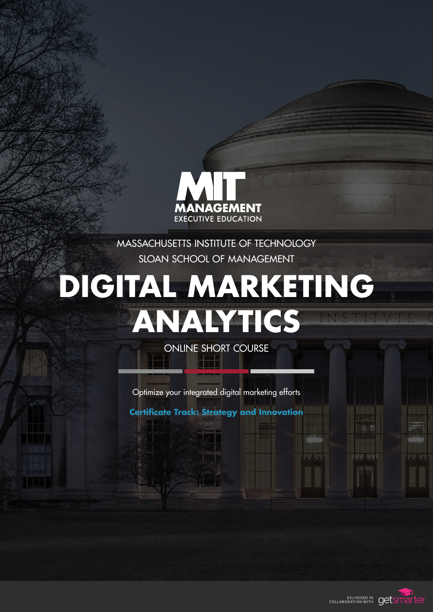

MASSACHUSETTS INSTITUTE OF TECHNOLOGY SLOAN SCHOOL OF MANAGEMENT

# **DIGITAL MARKETING ANALYTICS**

ONLINE SHORT COURSE

Optimize your integrated digital marketing efforts

**Certificate Track: Strategy and Innovation**

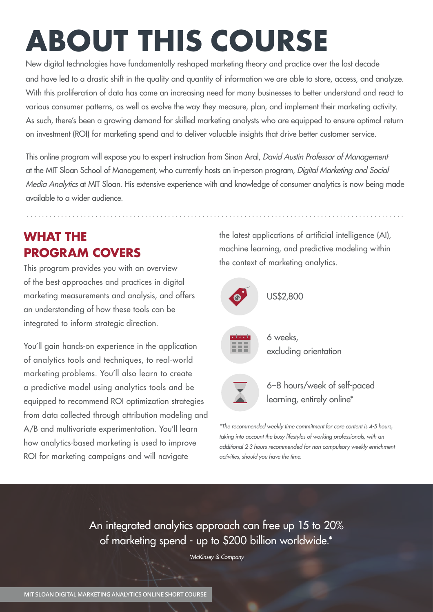# **ABOUT THIS COURSE**

New digital technologies have fundamentally reshaped marketing theory and practice over the last decade and have led to a drastic shift in the quality and quantity of information we are able to store, access, and analyze. With this proliferation of data has come an increasing need for many businesses to better understand and react to various consumer patterns, as well as evolve the way they measure, plan, and implement their marketing activity. As such, there's been a growing demand for skilled marketing analysts who are equipped to ensure optimal return on investment (ROI) for marketing spend and to deliver valuable insights that drive better customer service.

This online program will expose you to expert instruction from Sinan Aral, David Austin Professor of Management at the MIT Sloan School of Management, who currently hosts an in-person program, Digital Marketing and Social Media Analytics at MIT Sloan. His extensive experience with and knowledge of consumer analytics is now being made available to a wider audience.

## **WHAT THE PROGRAM COVERS**

This program provides you with an overview of the best approaches and practices in digital marketing measurements and analysis, and offers an understanding of how these tools can be integrated to inform strategic direction.

You'll gain hands-on experience in the application of analytics tools and techniques, to real-world marketing problems. You'll also learn to create a predictive model using analytics tools and be equipped to recommend ROI optimization strategies from data collected through attribution modeling and A/B and multivariate experimentation. You'll learn how analytics-based marketing is used to improve ROI for marketing campaigns and will navigate

the latest applications of artificial intelligence (AI), machine learning, and predictive modeling within the context of marketing analytics.



6 weeks, excluding orientation

US\$2,800



6–8 hours/week of self-paced learning, entirely online\*

\*The recommended weekly time commitment for core content is 4-5 hours, taking into account the busy lifestyles of working professionals, with an additional 2-3 hours recommended for non-compulsory weekly enrichment activities, should you have the time.

An integrated analytics approach can free up 15 to 20% of marketing spend - up to \$200 billion worldwide.\*

[\\*McKinsey & Company](https://www.mckinsey.com/business-functions/marketing-and-sales/our-insights/using-marketing-analytics-to-drive-superior-growth)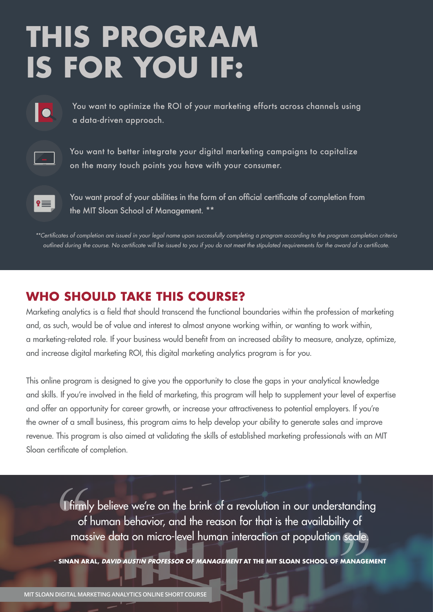# **THIS PROGRAM IS FOR YOU IF:**



 You want to optimize the ROI of your marketing efforts across channels using a data-driven approach.



You want to better integrate your digital marketing campaigns to capitalize on the many touch points you have with your consumer.



You want proof of your abilities in the form of an official certificate of completion from the MIT Sloan School of Management. \*\*

\*\*Certificates of completion are issued in your legal name upon successfully completing a program according to the program completion criteria outlined during the course. No certificate will be issued to you if you do not meet the stipulated requirements for the award of a certificate.

### **WHO SHOULD TAKE THIS COURSE?**

Marketing analytics is a field that should transcend the functional boundaries within the profession of marketing and, as such, would be of value and interest to almost anyone working within, or wanting to work within, a marketing-related role. If your business would benefit from an increased ability to measure, analyze, optimize, and increase digital marketing ROI, this digital marketing analytics program is for you.

This online program is designed to give you the opportunity to close the gaps in your analytical knowledge and skills. If you're involved in the field of marketing, this program will help to supplement your level of expertise and offer an opportunity for career growth, or increase your attractiveness to potential employers. If you're the owner of a small business, this program aims to help develop your ability to generate sales and improve revenue. This program is also aimed at validating the skills of established marketing professionals with an MIT Sloan certificate of completion.

I firmly believe we're on the brink of a revolution in our understanding of human behavior, and the reason for that is the availability of massive data on micro-level human interaction at population scale.

- **SINAN ARAL, DAVID AUSTIN PROFESSOR OF MANAGEMENT AT THE MIT SLOAN SCHOOL OF MANAGEMENT**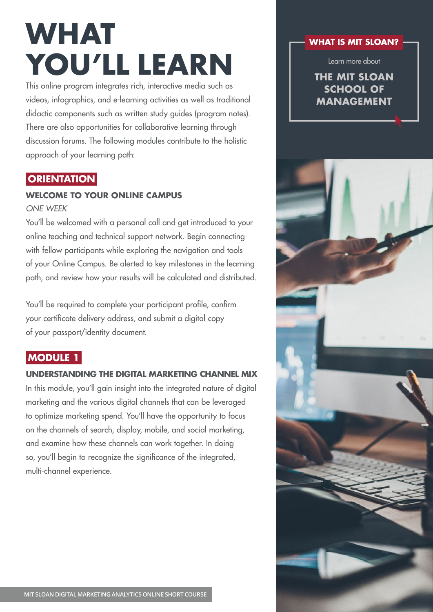# **WHAT YOU'LL LEARN**

This online program integrates rich, interactive media such as videos, infographics, and e-learning activities as well as traditional didactic components such as written study guides (program notes). There are also opportunities for collaborative learning through discussion forums. The following modules contribute to the holistic approach of your learning path:

### **ORIENTATION**

### **WELCOME TO YOUR ONLINE CAMPUS**

ONE WEEK

You'll be welcomed with a personal call and get introduced to your online teaching and technical support network. Begin connecting with fellow participants while exploring the navigation and tools of your Online Campus. Be alerted to key milestones in the learning path, and review how your results will be calculated and distributed.

You'll be required to complete your participant profile, confirm your certificate delivery address, and submit a digital copy of your passport/identity document.

### **MODULE 1**

### **UNDERSTANDING THE DIGITAL MARKETING CHANNEL MIX**

In this module, you'll gain insight into the integrated nature of digital marketing and the various digital channels that can be leveraged to optimize marketing spend. You'll have the opportunity to focus on the channels of search, display, mobile, and social marketing, and examine how these channels can work together. In doing so, you'll begin to recognize the significance of the integrated, multi-channel experience.

### **WHAT IS MIT SLOAN?**

Learn more about

### **[THE MIT SLOAN](http://mitsloan.mit.edu/about-mit-sloan/)  SCHOOL OF MANAGEMENT**

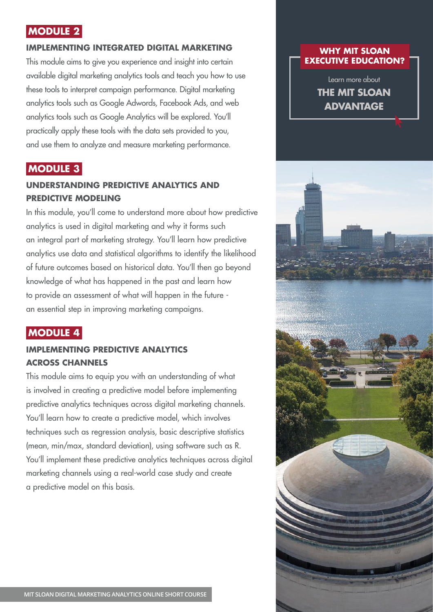### **MODULE 2**

### **IMPLEMENTING INTEGRATED DIGITAL MARKETING**

This module aims to give you experience and insight into certain available digital marketing analytics tools and teach you how to use these tools to interpret campaign performance. Digital marketing analytics tools such as Google Adwords, Facebook Ads, and web analytics tools such as Google Analytics will be explored. You'll practically apply these tools with the data sets provided to you, and use them to analyze and measure marketing performance.

### **MODULE 3**

### **UNDERSTANDING PREDICTIVE ANALYTICS AND PREDICTIVE MODELING**

In this module, you'll come to understand more about how predictive analytics is used in digital marketing and why it forms such an integral part of marketing strategy. You'll learn how predictive analytics use data and statistical algorithms to identify the likelihood of future outcomes based on historical data. You'll then go beyond knowledge of what has happened in the past and learn how to provide an assessment of what will happen in the future an essential step in improving marketing campaigns.

### **MODULE 4**

### **IMPLEMENTING PREDICTIVE ANALYTICS ACROSS CHANNELS**

This module aims to equip you with an understanding of what is involved in creating a predictive model before implementing predictive analytics techniques across digital marketing channels. You'll learn how to create a predictive model, which involves techniques such as regression analysis, basic descriptive statistics (mean, min/max, standard deviation), using software such as R. You'll implement these predictive analytics techniques across digital marketing channels using a real-world case study and create a predictive model on this basis.

### **WHY MIT SLOAN [EXECUTIVE EDUCATION?](http://executive.mit.edu/article/why-mit-sloan-executive-education)**

Learn more about **THE MIT SLOAN ADVANTAGE**

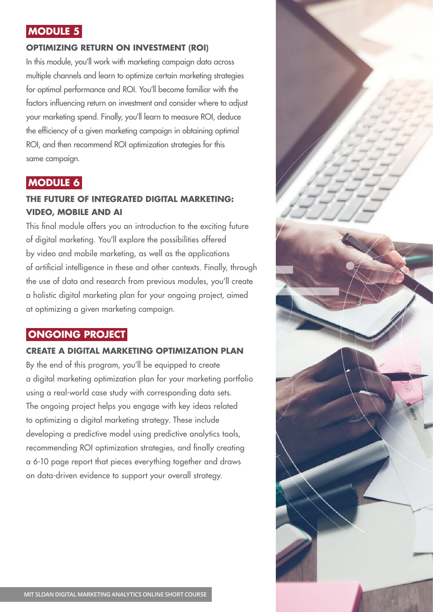### **MODULE 5**

### **OPTIMIZING RETURN ON INVESTMENT (ROI)**

In this module, you'll work with marketing campaign data across multiple channels and learn to optimize certain marketing strategies for optimal performance and ROI. You'll become familiar with the factors influencing return on investment and consider where to adjust your marketing spend. Finally, you'll learn to measure ROI, deduce the efficiency of a given marketing campaign in obtaining optimal ROI, and then recommend ROI optimization strategies for this same campaign.

### **MODULE 6**

### **THE FUTURE OF INTEGRATED DIGITAL MARKETING: VIDEO, MOBILE AND AI**

This final module offers you an introduction to the exciting future of digital marketing. You'll explore the possibilities offered by video and mobile marketing, as well as the applications of artificial intelligence in these and other contexts. Finally, through the use of data and research from previous modules, you'll create a holistic digital marketing plan for your ongoing project, aimed at optimizing a given marketing campaign.

### **ONGOING PROJECT**

### **CREATE A DIGITAL MARKETING OPTIMIZATION PLAN**

By the end of this program, you'll be equipped to create a digital marketing optimization plan for your marketing portfolio using a real-world case study with corresponding data sets. The ongoing project helps you engage with key ideas related to optimizing a digital marketing strategy. These include developing a predictive model using predictive analytics tools, recommending ROI optimization strategies, and finally creating a 6-10 page report that pieces everything together and draws on data-driven evidence to support your overall strategy.

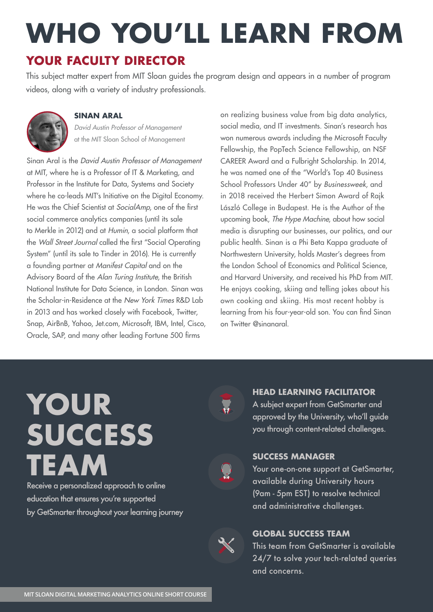# **WHO YOU'LL LEARN FROM YOUR FACULTY DIRECTOR**

This subject matter expert from MIT Sloan guides the program design and appears in a number of program videos, along with a variety of industry professionals.



### **SINAN ARAL**

David Austin Professor of Management at the MIT Sloan School of Management

Sinan Aral is the David Austin Professor of Management at MIT, where he is a Professor of IT & Marketing, and Professor in the Institute for Data, Systems and Society where he co-leads MIT's Initiative on the Digital Economy. He was the Chief Scientist at SocialAmp, one of the first social commerce analytics companies (until its sale to Merkle in 2012) and at Humin, a social platform that the Wall Street Journal called the first "Social Operating System" (until its sale to Tinder in 2016). He is currently a founding partner at Manifest Capital and on the Advisory Board of the Alan Turing Institute, the British National Institute for Data Science, in London. Sinan was the Scholar-in-Residence at the New York Times R&D Lab in 2013 and has worked closely with Facebook, Twitter, Snap, AirBnB, Yahoo, Jet.com, Microsoft, IBM, Intel, Cisco, Oracle, SAP, and many other leading Fortune 500 firms

on realizing business value from big data analytics, social media, and IT investments. Sinan's research has won numerous awards including the Microsoft Faculty Fellowship, the PopTech Science Fellowship, an NSF CAREER Award and a Fulbright Scholarship. In 2014, he was named one of the "World's Top 40 Business School Professors Under 40" by Businessweek, and in 2018 received the Herbert Simon Award of Rajk László College in Budapest. He is the Author of the upcoming book, The Hype Machine, about how social media is disrupting our businesses, our politics, and our public health. Sinan is a Phi Beta Kappa graduate of Northwestern University, holds Master's degrees from the London School of Economics and Political Science, and Harvard University, and received his PhD from MIT. He enjoys cooking, skiing and telling jokes about his own cooking and skiing. His most recent hobby is learning from his four-year-old son. You can find Sinan on Twitter @sinanaral.

# **YOUR SUCCESS TEAM**

Receive a personalized approach to online education that ensures you're supported by GetSmarter throughout your learning journey



### **HEAD LEARNING FACILITATOR**

A subject expert from GetSmarter and approved by the University, who'll guide you through content-related challenges.



### **SUCCESS MANAGER**

Your one-on-one support at GetSmarter, available during University hours (9am - 5pm EST) to resolve technical and administrative challenges.



### **GLOBAL SUCCESS TEAM**

This team from GetSmarter is available 24/7 to solve your tech-related queries and concerns.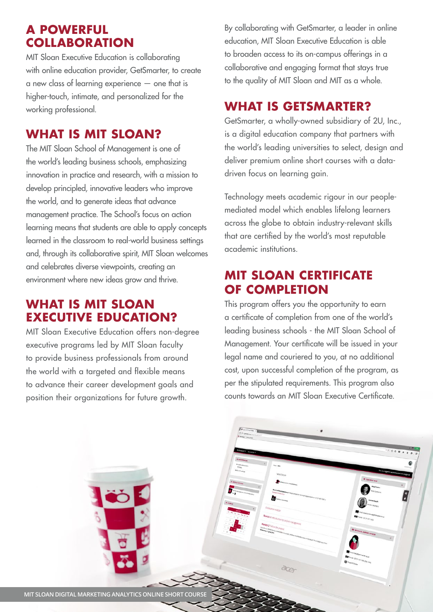### **A POWERFUL COLLABORATION**

MIT Sloan Executive Education is collaborating with online education provider, GetSmarter, to create a new class of learning experience — one that is higher-touch, intimate, and personalized for the working professional.

### **WHAT IS MIT SLOAN?**

The MIT Sloan School of Management is one of the world's leading business schools, emphasizing innovation in practice and research, with a mission to develop principled, innovative leaders who improve the world, and to generate ideas that advance management practice. The School's focus on action learning means that students are able to apply concepts learned in the classroom to real-world business settings and, through its collaborative spirit, MIT Sloan welcomes and celebrates diverse viewpoints, creating an environment where new ideas grow and thrive.

### **WHAT IS MIT SLOAN EXECUTIVE EDUCATION?**

MIT Sloan Executive Education offers non-degree executive programs led by MIT Sloan faculty to provide business professionals from around the world with a targeted and flexible means to advance their career development goals and position their organizations for future growth.

By collaborating with GetSmarter, a leader in online education, MIT Sloan Executive Education is able to broaden access to its on-campus offerings in a collaborative and engaging format that stays true to the quality of MIT Sloan and MIT as a whole.

### **WHAT IS GETSMARTER?**

GetSmarter, a wholly-owned subsidiary of 2U, Inc., is a digital education company that partners with the world's leading universities to select, design and deliver premium online short courses with a datadriven focus on learning gain.

Technology meets academic rigour in our peoplemediated model which enables lifelong learners across the globe to obtain industry-relevant skills that are certified by the world's most reputable academic institutions.

### **MIT SLOAN CERTIFICATE OF COMPLETION**

This program offers you the opportunity to earn a certificate of completion from one of the world's leading business schools - the MIT Sloan School of Management. Your certificate will be issued in your legal name and couriered to you, at no additional cost, upon successful completion of the program, as per the stipulated requirements. This program also counts towards an MIT Sloan Executive Certificate.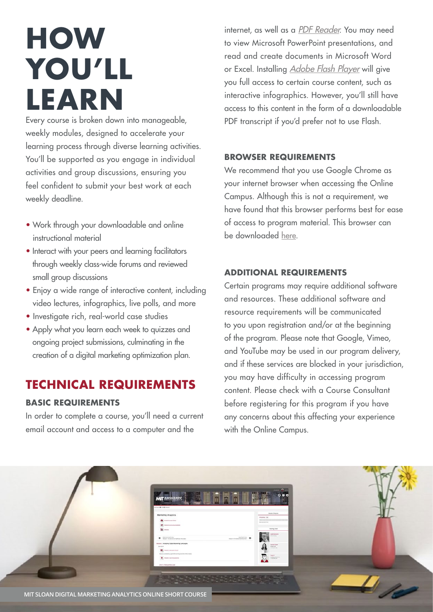# **HOW YOU'LL LEARN**

Every course is broken down into manageable, weekly modules, designed to accelerate your learning process through diverse learning activities. You'll be supported as you engage in individual activities and group discussions, ensuring you feel confident to submit your best work at each weekly deadline.

- Work through your downloadable and online instructional material
- Interact with your peers and learning facilitators through weekly class-wide forums and reviewed small group discussions
- Enjoy a wide range of interactive content, including video lectures, infographics, live polls, and more
- Investigate rich, real-world case studies
- Apply what you learn each week to quizzes and ongoing project submissions, culminating in the creation of a digital marketing optimization plan.

### **TECHNICAL REQUIREMENTS**

### **BASIC REQUIREMENTS**

In order to complete a course, you'll need a current email account and access to a computer and the

internet, as well as a [PDF Reader](https://get.adobe.com/uk/reader/?promoid=BUIGO). You may need to view Microsoft PowerPoint presentations, and read and create documents in Microsoft Word or Excel. Installing [Adobe Flash Player](https://get.adobe.com/flashplayer/) will give you full access to certain course content, such as interactive infographics. However, you'll still have access to this content in the form of a downloadable PDF transcript if you'd prefer not to use Flash.

### **BROWSER REQUIREMENTS**

We recommend that you use Google Chrome as your internet browser when accessing the Online Campus. Although this is not a requirement, we have found that this browser performs best for ease of access to program material. This browser can be downloaded [here.](https://www.google.com/intl/en/chrome/browser/)

### **ADDITIONAL REQUIREMENTS**

Certain programs may require additional software and resources. These additional software and resource requirements will be communicated to you upon registration and/or at the beginning of the program. Please note that Google, Vimeo, and YouTube may be used in our program delivery, and if these services are blocked in your jurisdiction, you may have difficulty in accessing program content. Please check with a Course Consultant before registering for this program if you have any concerns about this affecting your experience with the Online Campus.